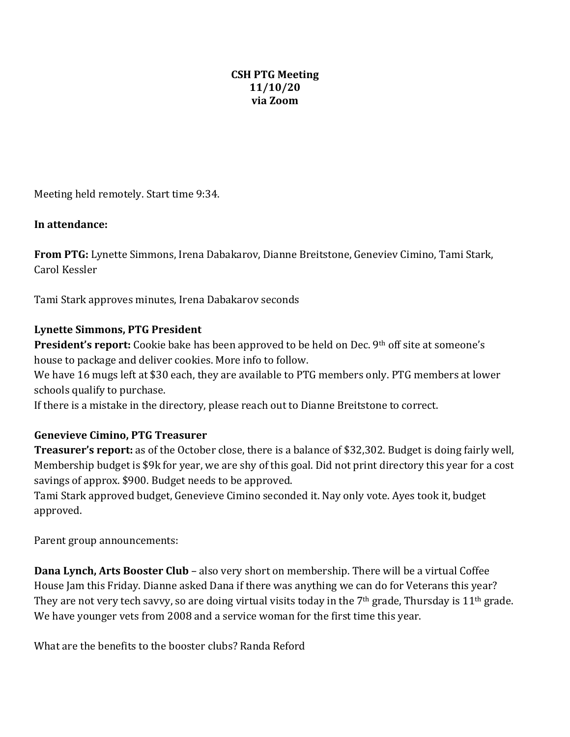## **CSH PTG Meeting 11/10/20 via Zoom**

Meeting held remotely. Start time 9:34.

## In attendance:

**From PTG:** Lynette Simmons, Irena Dabakarov, Dianne Breitstone, Geneviev Cimino, Tami Stark, Carol Kessler

Tami Stark approves minutes, Irena Dabakarov seconds

## **Lynette Simmons, PTG President**

**President's report:** Cookie bake has been approved to be held on Dec. 9<sup>th</sup> off site at someone's house to package and deliver cookies. More info to follow.

We have 16 mugs left at \$30 each, they are available to PTG members only. PTG members at lower schools qualify to purchase.

If there is a mistake in the directory, please reach out to Dianne Breitstone to correct.

## **Genevieve Cimino, PTG Treasurer**

**Treasurer's report:** as of the October close, there is a balance of \$32,302. Budget is doing fairly well, Membership budget is \$9k for year, we are shy of this goal. Did not print directory this year for a cost savings of approx. \$900. Budget needs to be approved.

Tami Stark approved budget, Genevieve Cimino seconded it. Nay only vote. Ayes took it, budget approved.

Parent group announcements:

**Dana Lynch, Arts Booster Club** – also very short on membership. There will be a virtual Coffee House Jam this Friday. Dianne asked Dana if there was anything we can do for Veterans this year? They are not very tech savvy, so are doing virtual visits today in the  $7<sup>th</sup>$  grade, Thursday is  $11<sup>th</sup>$  grade. We have younger vets from 2008 and a service woman for the first time this year.

What are the benefits to the booster clubs? Randa Reford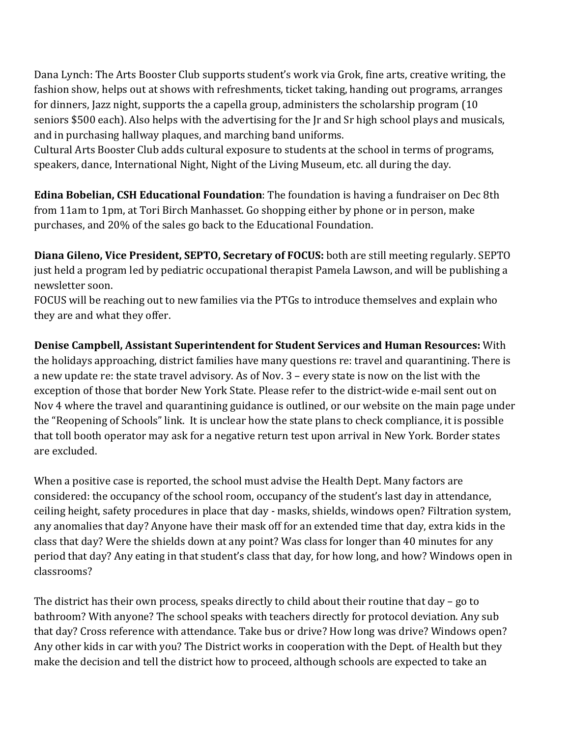Dana Lynch: The Arts Booster Club supports student's work via Grok, fine arts, creative writing, the fashion show, helps out at shows with refreshments, ticket taking, handing out programs, arranges for dinners, Jazz night, supports the a capella group, administers the scholarship program (10) seniors \$500 each). Also helps with the advertising for the Ir and Sr high school plays and musicals, and in purchasing hallway plaques, and marching band uniforms.

Cultural Arts Booster Club adds cultural exposure to students at the school in terms of programs, speakers, dance, International Night, Night of the Living Museum, etc. all during the day.

**Edina Bobelian, CSH Educational Foundation**: The foundation is having a fundraiser on Dec 8th from 11am to 1pm, at Tori Birch Manhasset. Go shopping either by phone or in person, make purchases, and 20% of the sales go back to the Educational Foundation.

**Diana Gileno, Vice President, SEPTO, Secretary of FOCUS:** both are still meeting regularly. SEPTO just held a program led by pediatric occupational therapist Pamela Lawson, and will be publishing a newsletter soon.

FOCUS will be reaching out to new families via the PTGs to introduce themselves and explain who they are and what they offer.

**Denise Campbell, Assistant Superintendent for Student Services and Human Resources:** With the holidays approaching, district families have many questions re: travel and quarantining. There is a new update re: the state travel advisory. As of Nov. 3 – every state is now on the list with the exception of those that border New York State. Please refer to the district-wide e-mail sent out on Nov 4 where the travel and quarantining guidance is outlined, or our website on the main page under the "Reopening of Schools" link. It is unclear how the state plans to check compliance, it is possible that toll booth operator may ask for a negative return test upon arrival in New York. Border states are excluded.

When a positive case is reported, the school must advise the Health Dept. Many factors are considered: the occupancy of the school room, occupancy of the student's last day in attendance, ceiling height, safety procedures in place that day - masks, shields, windows open? Filtration system, any anomalies that day? Anyone have their mask off for an extended time that day, extra kids in the class that day? Were the shields down at any point? Was class for longer than 40 minutes for any period that day? Any eating in that student's class that day, for how long, and how? Windows open in classrooms?

The district has their own process, speaks directly to child about their routine that day  $-$  go to bathroom? With anyone? The school speaks with teachers directly for protocol deviation. Any sub that day? Cross reference with attendance. Take bus or drive? How long was drive? Windows open? Any other kids in car with you? The District works in cooperation with the Dept. of Health but they make the decision and tell the district how to proceed, although schools are expected to take an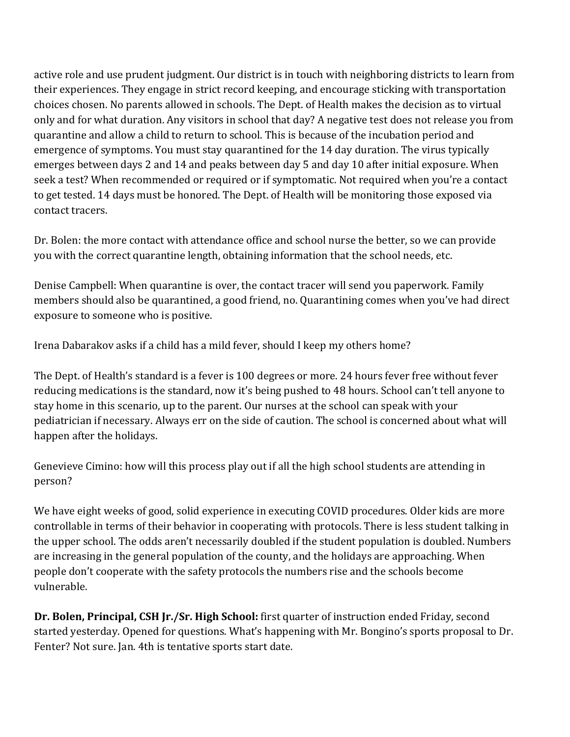active role and use prudent judgment. Our district is in touch with neighboring districts to learn from their experiences. They engage in strict record keeping, and encourage sticking with transportation choices chosen. No parents allowed in schools. The Dept. of Health makes the decision as to virtual only and for what duration. Any visitors in school that day? A negative test does not release you from quarantine and allow a child to return to school. This is because of the incubation period and emergence of symptoms. You must stay quarantined for the 14 day duration. The virus typically emerges between days 2 and 14 and peaks between day 5 and day 10 after initial exposure. When seek a test? When recommended or required or if symptomatic. Not required when you're a contact to get tested. 14 days must be honored. The Dept. of Health will be monitoring those exposed via contact tracers.

Dr. Bolen: the more contact with attendance office and school nurse the better, so we can provide you with the correct quarantine length, obtaining information that the school needs, etc.

Denise Campbell: When quarantine is over, the contact tracer will send you paperwork. Family members should also be quarantined, a good friend, no. Quarantining comes when you've had direct exposure to someone who is positive.

Irena Dabarakov asks if a child has a mild fever, should I keep my others home?

The Dept. of Health's standard is a fever is 100 degrees or more. 24 hours fever free without fever reducing medications is the standard, now it's being pushed to 48 hours. School can't tell anyone to stay home in this scenario, up to the parent. Our nurses at the school can speak with your pediatrician if necessary. Always err on the side of caution. The school is concerned about what will happen after the holidays.

Genevieve Cimino: how will this process play out if all the high school students are attending in person? 

We have eight weeks of good, solid experience in executing COVID procedures. Older kids are more controllable in terms of their behavior in cooperating with protocols. There is less student talking in the upper school. The odds aren't necessarily doubled if the student population is doubled. Numbers are increasing in the general population of the county, and the holidays are approaching. When people don't cooperate with the safety protocols the numbers rise and the schools become vulnerable. 

**Dr. Bolen, Principal, CSH Jr./Sr. High School:** first quarter of instruction ended Friday, second started yesterday. Opened for questions. What's happening with Mr. Bongino's sports proposal to Dr. Fenter? Not sure. Jan. 4th is tentative sports start date.